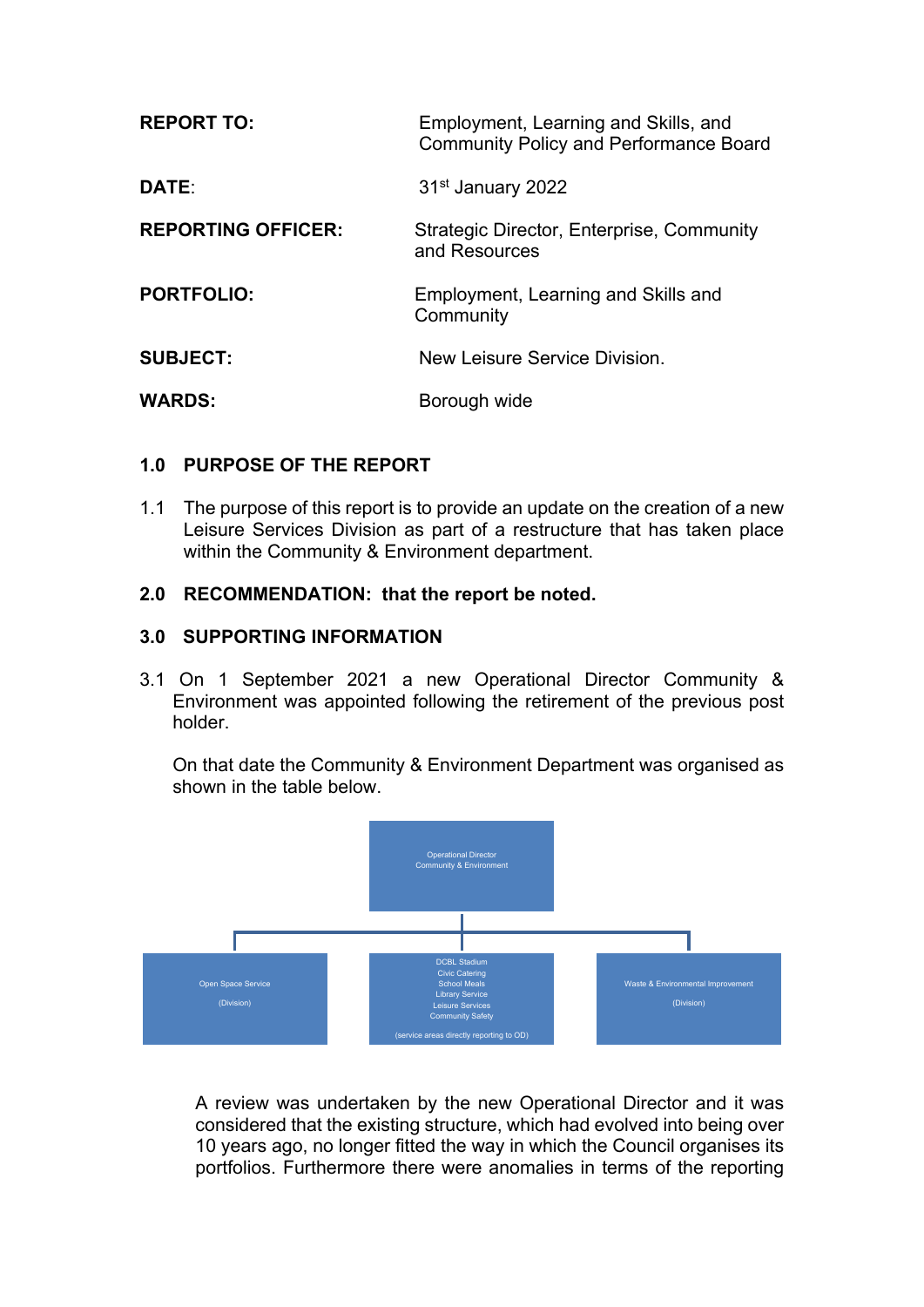| <b>REPORT TO:</b>         | Employment, Learning and Skills, and<br><b>Community Policy and Performance Board</b> |
|---------------------------|---------------------------------------------------------------------------------------|
| DATE:                     | 31 <sup>st</sup> January 2022                                                         |
| <b>REPORTING OFFICER:</b> | Strategic Director, Enterprise, Community<br>and Resources                            |
| <b>PORTFOLIO:</b>         | Employment, Learning and Skills and<br>Community                                      |
| <b>SUBJECT:</b>           | New Leisure Service Division.                                                         |
| <b>WARDS:</b>             | Borough wide                                                                          |

# **1.0 PURPOSE OF THE REPORT**

1.1 The purpose of this report is to provide an update on the creation of a new Leisure Services Division as part of a restructure that has taken place within the Community & Environment department.

## **2.0 RECOMMENDATION: that the report be noted.**

### **3.0 SUPPORTING INFORMATION**

3.1 On 1 September 2021 a new Operational Director Community & Environment was appointed following the retirement of the previous post holder.

On that date the Community & Environment Department was organised as shown in the table below.



A review was undertaken by the new Operational Director and it was considered that the existing structure, which had evolved into being over 10 years ago, no longer fitted the way in which the Council organises its portfolios. Furthermore there were anomalies in terms of the reporting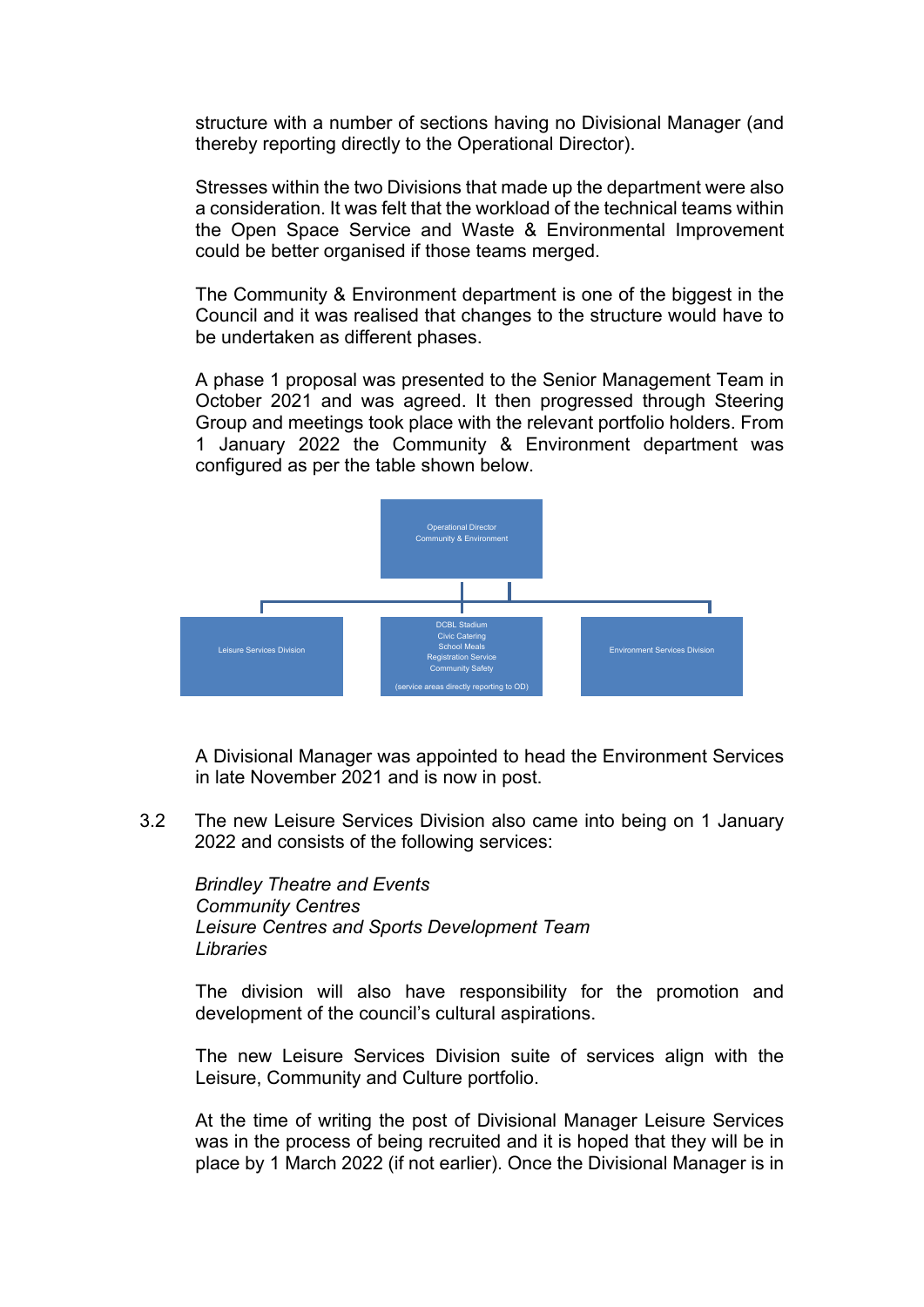structure with a number of sections having no Divisional Manager (and thereby reporting directly to the Operational Director).

Stresses within the two Divisions that made up the department were also a consideration. It was felt that the workload of the technical teams within the Open Space Service and Waste & Environmental Improvement could be better organised if those teams merged.

The Community & Environment department is one of the biggest in the Council and it was realised that changes to the structure would have to be undertaken as different phases.

A phase 1 proposal was presented to the Senior Management Team in October 2021 and was agreed. It then progressed through Steering Group and meetings took place with the relevant portfolio holders. From 1 January 2022 the Community & Environment department was configured as per the table shown below.



A Divisional Manager was appointed to head the Environment Services in late November 2021 and is now in post.

3.2 The new Leisure Services Division also came into being on 1 January 2022 and consists of the following services:

*Brindley Theatre and Events Community Centres Leisure Centres and Sports Development Team Libraries*

The division will also have responsibility for the promotion and development of the council's cultural aspirations.

The new Leisure Services Division suite of services align with the Leisure, Community and Culture portfolio.

At the time of writing the post of Divisional Manager Leisure Services was in the process of being recruited and it is hoped that they will be in place by 1 March 2022 (if not earlier). Once the Divisional Manager is in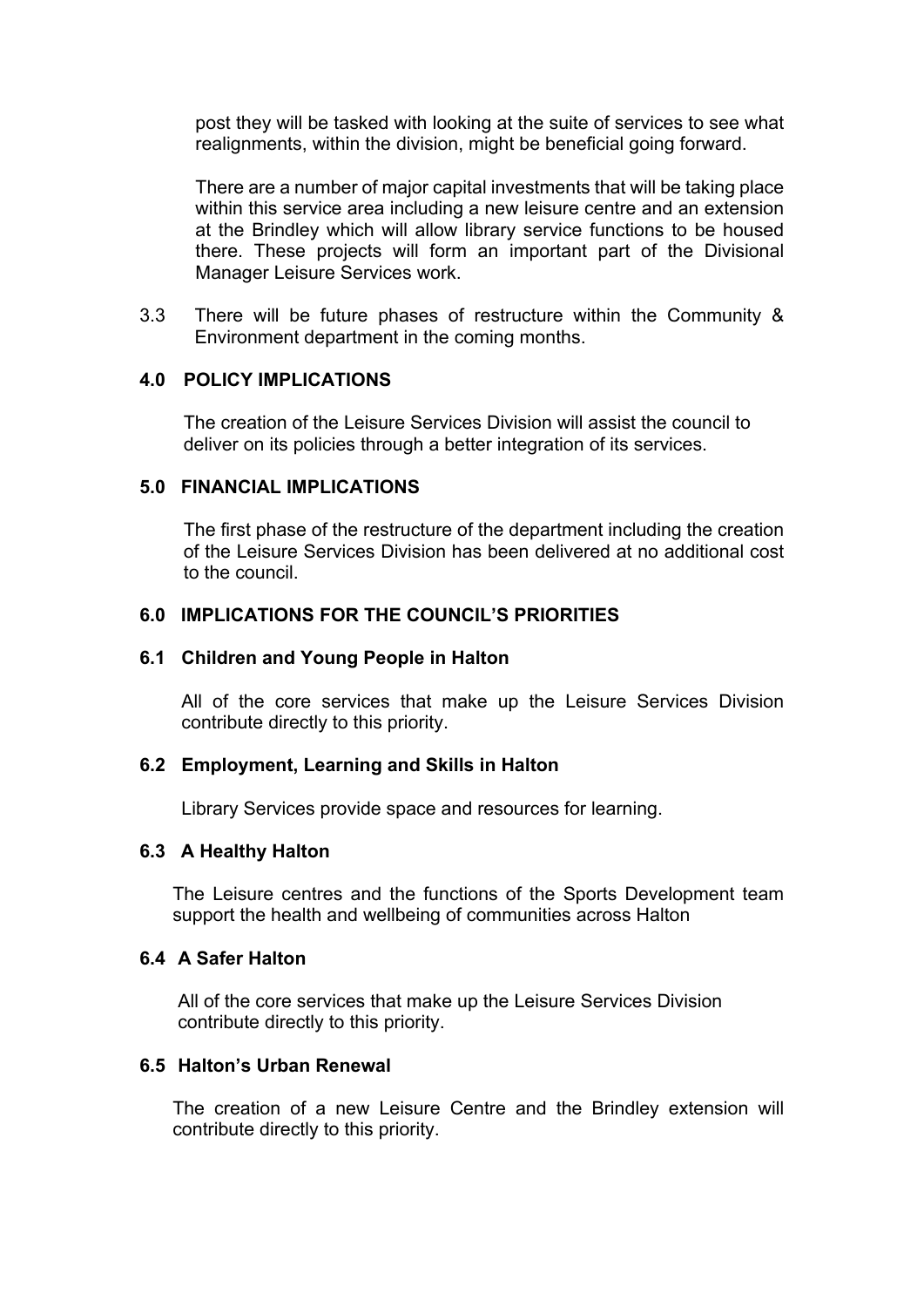post they will be tasked with looking at the suite of services to see what realignments, within the division, might be beneficial going forward.

There are a number of major capital investments that will be taking place within this service area including a new leisure centre and an extension at the Brindley which will allow library service functions to be housed there. These projects will form an important part of the Divisional Manager Leisure Services work.

3.3 There will be future phases of restructure within the Community & Environment department in the coming months.

### **4.0 POLICY IMPLICATIONS**

The creation of the Leisure Services Division will assist the council to deliver on its policies through a better integration of its services.

## **5.0 FINANCIAL IMPLICATIONS**

The first phase of the restructure of the department including the creation of the Leisure Services Division has been delivered at no additional cost to the council.

## **6.0 IMPLICATIONS FOR THE COUNCIL'S PRIORITIES**

#### **6.1 Children and Young People in Halton**

All of the core services that make up the Leisure Services Division contribute directly to this priority.

#### **6.2 Employment, Learning and Skills in Halton**

Library Services provide space and resources for learning.

#### **6.3 A Healthy Halton**

The Leisure centres and the functions of the Sports Development team support the health and wellbeing of communities across Halton

#### **6.4 A Safer Halton**

 All of the core services that make up the Leisure Services Division contribute directly to this priority.

#### **6.5 Halton's Urban Renewal**

The creation of a new Leisure Centre and the Brindley extension will contribute directly to this priority.